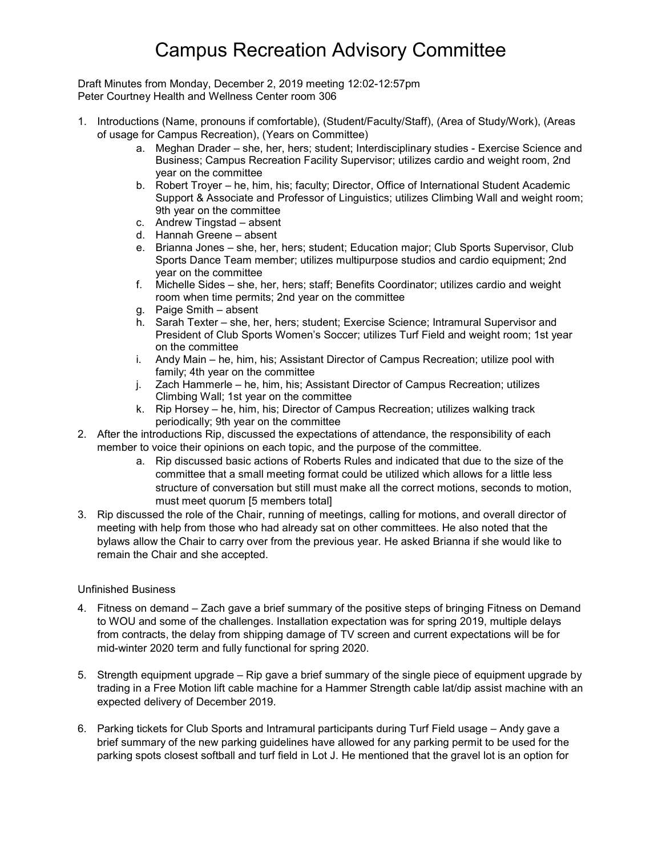# Campus Recreation Advisory Committee

Draft Minutes from Monday, December 2, 2019 meeting 12:02-12:57pm Peter Courtney Health and Wellness Center room 306

- 1. Introductions (Name, pronouns if comfortable), (Student/Faculty/Staff), (Area of Study/Work), (Areas of usage for Campus Recreation), (Years on Committee)
	- a. Meghan Drader she, her, hers; student; Interdisciplinary studies Exercise Science and Business; Campus Recreation Facility Supervisor; utilizes cardio and weight room, 2nd year on the committee
	- b. Robert Troyer he, him, his; faculty; Director, Office of International Student Academic Support & Associate and Professor of Linguistics; utilizes Climbing Wall and weight room; 9th year on the committee
	- c. Andrew Tingstad absent
	- d. Hannah Greene absent
	- e. Brianna Jones she, her, hers; student; Education major; Club Sports Supervisor, Club Sports Dance Team member; utilizes multipurpose studios and cardio equipment; 2nd year on the committee
	- f. Michelle Sides she, her, hers; staff; Benefits Coordinator; utilizes cardio and weight room when time permits; 2nd year on the committee
	- g. Paige Smith absent
	- h. Sarah Texter she, her, hers; student; Exercise Science; Intramural Supervisor and President of Club Sports Women's Soccer; utilizes Turf Field and weight room; 1st year on the committee
	- i. Andy Main he, him, his; Assistant Director of Campus Recreation; utilize pool with family; 4th year on the committee
	- j. Zach Hammerle he, him, his; Assistant Director of Campus Recreation; utilizes Climbing Wall; 1st year on the committee
	- k. Rip Horsey he, him, his; Director of Campus Recreation; utilizes walking track periodically; 9th year on the committee
- 2. After the introductions Rip, discussed the expectations of attendance, the responsibility of each member to voice their opinions on each topic, and the purpose of the committee.
	- a. Rip discussed basic actions of Roberts Rules and indicated that due to the size of the committee that a small meeting format could be utilized which allows for a little less structure of conversation but still must make all the correct motions, seconds to motion, must meet quorum [5 members total]
- 3. Rip discussed the role of the Chair, running of meetings, calling for motions, and overall director of meeting with help from those who had already sat on other committees. He also noted that the bylaws allow the Chair to carry over from the previous year. He asked Brianna if she would like to remain the Chair and she accepted.

### Unfinished Business

- 4. Fitness on demand Zach gave a brief summary of the positive steps of bringing Fitness on Demand to WOU and some of the challenges. Installation expectation was for spring 2019, multiple delays from contracts, the delay from shipping damage of TV screen and current expectations will be for mid-winter 2020 term and fully functional for spring 2020.
- 5. Strength equipment upgrade Rip gave a brief summary of the single piece of equipment upgrade by trading in a Free Motion lift cable machine for a Hammer Strength cable lat/dip assist machine with an expected delivery of December 2019.
- 6. Parking tickets for Club Sports and Intramural participants during Turf Field usage Andy gave a brief summary of the new parking guidelines have allowed for any parking permit to be used for the parking spots closest softball and turf field in Lot J. He mentioned that the gravel lot is an option for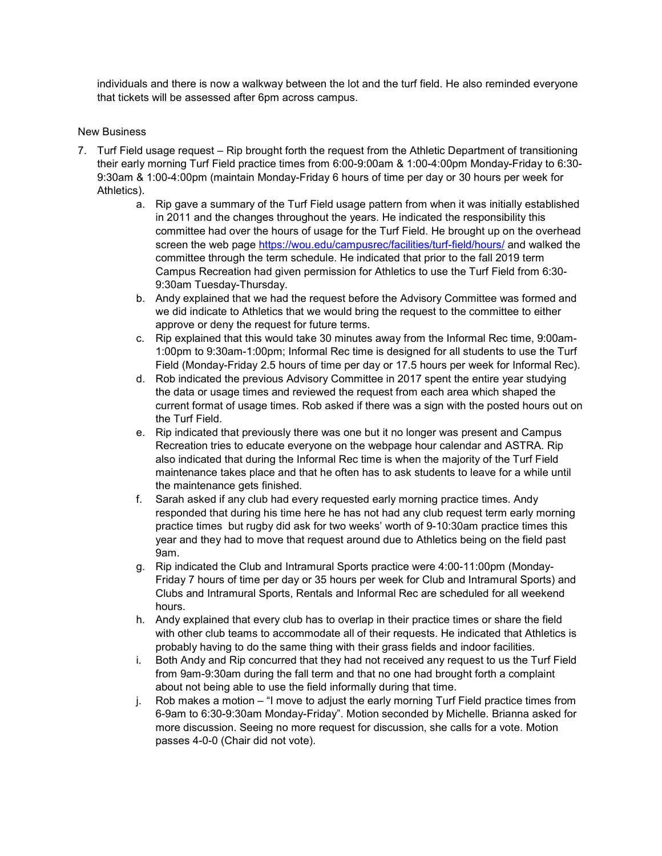individuals and there is now a walkway between the lot and the turf field. He also reminded everyone that tickets will be assessed after 6pm across campus.

### New Business

- 7. Turf Field usage request Rip brought forth the request from the Athletic Department of transitioning their early morning Turf Field practice times from 6:00-9:00am & 1:00-4:00pm Monday-Friday to 6:30- 9:30am & 1:00-4:00pm (maintain Monday-Friday 6 hours of time per day or 30 hours per week for Athletics).
	- a. Rip gave a summary of the Turf Field usage pattern from when it was initially established in 2011 and the changes throughout the years. He indicated the responsibility this committee had over the hours of usage for the Turf Field. He brought up on the overhead screen the web page<https://wou.edu/campusrec/facilities/turf-field/hours/> and walked the committee through the term schedule. He indicated that prior to the fall 2019 term Campus Recreation had given permission for Athletics to use the Turf Field from 6:30- 9:30am Tuesday-Thursday.
	- b. Andy explained that we had the request before the Advisory Committee was formed and we did indicate to Athletics that we would bring the request to the committee to either approve or deny the request for future terms.
	- c. Rip explained that this would take 30 minutes away from the Informal Rec time, 9:00am-1:00pm to 9:30am-1:00pm; Informal Rec time is designed for all students to use the Turf Field (Monday-Friday 2.5 hours of time per day or 17.5 hours per week for Informal Rec).
	- d. Rob indicated the previous Advisory Committee in 2017 spent the entire year studying the data or usage times and reviewed the request from each area which shaped the current format of usage times. Rob asked if there was a sign with the posted hours out on the Turf Field.
	- e. Rip indicated that previously there was one but it no longer was present and Campus Recreation tries to educate everyone on the webpage hour calendar and ASTRA. Rip also indicated that during the Informal Rec time is when the majority of the Turf Field maintenance takes place and that he often has to ask students to leave for a while until the maintenance gets finished.
	- f. Sarah asked if any club had every requested early morning practice times. Andy responded that during his time here he has not had any club request term early morning practice times but rugby did ask for two weeks' worth of 9-10:30am practice times this year and they had to move that request around due to Athletics being on the field past 9am.
	- g. Rip indicated the Club and Intramural Sports practice were 4:00-11:00pm (Monday-Friday 7 hours of time per day or 35 hours per week for Club and Intramural Sports) and Clubs and Intramural Sports, Rentals and Informal Rec are scheduled for all weekend hours.
	- h. Andy explained that every club has to overlap in their practice times or share the field with other club teams to accommodate all of their requests. He indicated that Athletics is probably having to do the same thing with their grass fields and indoor facilities.
	- i. Both Andy and Rip concurred that they had not received any request to us the Turf Field from 9am-9:30am during the fall term and that no one had brought forth a complaint about not being able to use the field informally during that time.
	- j. Rob makes a motion "I move to adjust the early morning Turf Field practice times from 6-9am to 6:30-9:30am Monday-Friday". Motion seconded by Michelle. Brianna asked for more discussion. Seeing no more request for discussion, she calls for a vote. Motion passes 4-0-0 (Chair did not vote).